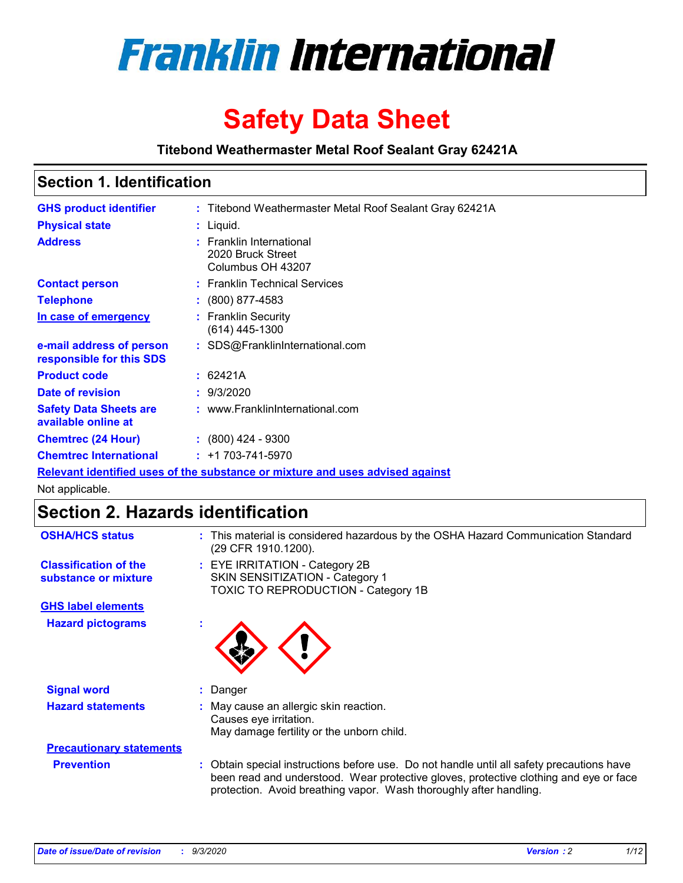

# **Safety Data Sheet**

**Titebond Weathermaster Metal Roof Sealant Gray 62421A**

# **Section 1. Identification**

| <b>GHS product identifier</b>                                                 |  | : Titebond Weathermaster Metal Roof Sealant Gray 62421A            |  |  |
|-------------------------------------------------------------------------------|--|--------------------------------------------------------------------|--|--|
| <b>Physical state</b>                                                         |  | : Liquid.                                                          |  |  |
| <b>Address</b>                                                                |  | : Franklin International<br>2020 Bruck Street<br>Columbus OH 43207 |  |  |
| <b>Contact person</b>                                                         |  | : Franklin Technical Services                                      |  |  |
| <b>Telephone</b>                                                              |  | $\div$ (800) 877-4583                                              |  |  |
| In case of emergency                                                          |  | : Franklin Security<br>(614) 445-1300                              |  |  |
| e-mail address of person<br>responsible for this SDS                          |  | : SDS@FranklinInternational.com                                    |  |  |
| <b>Product code</b>                                                           |  | : 62421A                                                           |  |  |
| Date of revision                                                              |  | : 9/3/2020                                                         |  |  |
| <b>Safety Data Sheets are</b><br>available online at                          |  | : www.FranklinInternational.com                                    |  |  |
| <b>Chemtrec (24 Hour)</b>                                                     |  | $: (800)$ 424 - 9300                                               |  |  |
| <b>Chemtrec International</b>                                                 |  | $: +1703 - 741 - 5970$                                             |  |  |
| Relevant identified uses of the substance or mixture and uses advised against |  |                                                                    |  |  |

Not applicable.

# **Section 2. Hazards identification**

| <b>OSHA/HCS status</b>                               |    | : This material is considered hazardous by the OSHA Hazard Communication Standard<br>(29 CFR 1910.1200).                                                                                                                                                 |  |  |  |
|------------------------------------------------------|----|----------------------------------------------------------------------------------------------------------------------------------------------------------------------------------------------------------------------------------------------------------|--|--|--|
| <b>Classification of the</b><br>substance or mixture |    | : EYE IRRITATION - Category 2B<br>SKIN SENSITIZATION - Category 1<br>TOXIC TO REPRODUCTION - Category 1B                                                                                                                                                 |  |  |  |
| <b>GHS label elements</b>                            |    |                                                                                                                                                                                                                                                          |  |  |  |
| <b>Hazard pictograms</b>                             | ×. |                                                                                                                                                                                                                                                          |  |  |  |
| <b>Signal word</b>                                   | ÷. | Danger                                                                                                                                                                                                                                                   |  |  |  |
| <b>Hazard statements</b>                             |    | May cause an allergic skin reaction.<br>Causes eye irritation.<br>May damage fertility or the unborn child.                                                                                                                                              |  |  |  |
| <b>Precautionary statements</b>                      |    |                                                                                                                                                                                                                                                          |  |  |  |
| <b>Prevention</b>                                    |    | : Obtain special instructions before use. Do not handle until all safety precautions have<br>been read and understood. Wear protective gloves, protective clothing and eye or face<br>protection. Avoid breathing vapor. Wash thoroughly after handling. |  |  |  |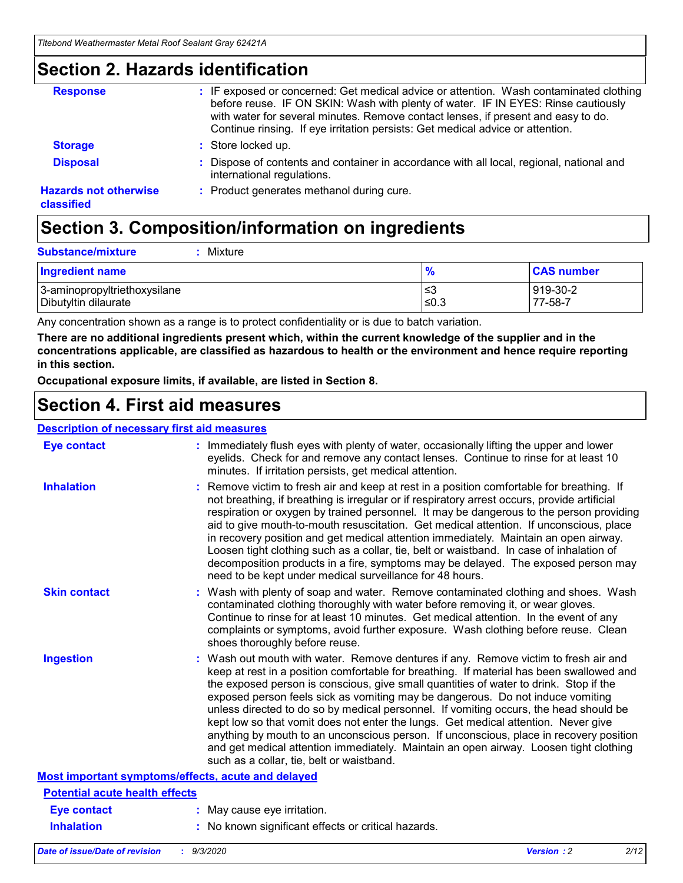# **Section 2. Hazards identification**

| <b>Response</b>                            | : IF exposed or concerned: Get medical advice or attention. Wash contaminated clothing<br>before reuse. IF ON SKIN: Wash with plenty of water. IF IN EYES: Rinse cautiously<br>with water for several minutes. Remove contact lenses, if present and easy to do.<br>Continue rinsing. If eye irritation persists: Get medical advice or attention. |
|--------------------------------------------|----------------------------------------------------------------------------------------------------------------------------------------------------------------------------------------------------------------------------------------------------------------------------------------------------------------------------------------------------|
| <b>Storage</b>                             | : Store locked up.                                                                                                                                                                                                                                                                                                                                 |
| <b>Disposal</b>                            | : Dispose of contents and container in accordance with all local, regional, national and<br>international regulations.                                                                                                                                                                                                                             |
| <b>Hazards not otherwise</b><br>classified | : Product generates methanol during cure.                                                                                                                                                                                                                                                                                                          |

# **Section 3. Composition/information on ingredients**

| <b>Substance/mixture</b> | : Mixture |
|--------------------------|-----------|
|                          |           |

| Ingredient name              | 70   | <b>CAS number</b> |
|------------------------------|------|-------------------|
| 3-aminopropyltriethoxysilane | צ≥   | 919-30-2          |
| Dibutyltin dilaurate         | ≤0.3 | 77-58-7           |

Any concentration shown as a range is to protect confidentiality or is due to batch variation.

**There are no additional ingredients present which, within the current knowledge of the supplier and in the concentrations applicable, are classified as hazardous to health or the environment and hence require reporting in this section.**

**Occupational exposure limits, if available, are listed in Section 8.**

# **Section 4. First aid measures**

| <b>Description of necessary first aid measures</b> |                                                                                                                                                                                                                                                                                                                                                                                                                                                                                                                                                                                                                                                                                                                                                                           |
|----------------------------------------------------|---------------------------------------------------------------------------------------------------------------------------------------------------------------------------------------------------------------------------------------------------------------------------------------------------------------------------------------------------------------------------------------------------------------------------------------------------------------------------------------------------------------------------------------------------------------------------------------------------------------------------------------------------------------------------------------------------------------------------------------------------------------------------|
| <b>Eye contact</b>                                 | : Immediately flush eyes with plenty of water, occasionally lifting the upper and lower<br>eyelids. Check for and remove any contact lenses. Continue to rinse for at least 10<br>minutes. If irritation persists, get medical attention.                                                                                                                                                                                                                                                                                                                                                                                                                                                                                                                                 |
| <b>Inhalation</b>                                  | : Remove victim to fresh air and keep at rest in a position comfortable for breathing. If<br>not breathing, if breathing is irregular or if respiratory arrest occurs, provide artificial<br>respiration or oxygen by trained personnel. It may be dangerous to the person providing<br>aid to give mouth-to-mouth resuscitation. Get medical attention. If unconscious, place<br>in recovery position and get medical attention immediately. Maintain an open airway.<br>Loosen tight clothing such as a collar, tie, belt or waistband. In case of inhalation of<br>decomposition products in a fire, symptoms may be delayed. The exposed person may<br>need to be kept under medical surveillance for 48 hours.                                                       |
| <b>Skin contact</b>                                | : Wash with plenty of soap and water. Remove contaminated clothing and shoes. Wash<br>contaminated clothing thoroughly with water before removing it, or wear gloves.<br>Continue to rinse for at least 10 minutes. Get medical attention. In the event of any<br>complaints or symptoms, avoid further exposure. Wash clothing before reuse. Clean<br>shoes thoroughly before reuse.                                                                                                                                                                                                                                                                                                                                                                                     |
| <b>Ingestion</b>                                   | : Wash out mouth with water. Remove dentures if any. Remove victim to fresh air and<br>keep at rest in a position comfortable for breathing. If material has been swallowed and<br>the exposed person is conscious, give small quantities of water to drink. Stop if the<br>exposed person feels sick as vomiting may be dangerous. Do not induce vomiting<br>unless directed to do so by medical personnel. If vomiting occurs, the head should be<br>kept low so that vomit does not enter the lungs. Get medical attention. Never give<br>anything by mouth to an unconscious person. If unconscious, place in recovery position<br>and get medical attention immediately. Maintain an open airway. Loosen tight clothing<br>such as a collar, tie, belt or waistband. |
| Most important symptoms/effects, acute and delayed |                                                                                                                                                                                                                                                                                                                                                                                                                                                                                                                                                                                                                                                                                                                                                                           |
| <b>Potential acute health effects</b>              |                                                                                                                                                                                                                                                                                                                                                                                                                                                                                                                                                                                                                                                                                                                                                                           |
| Eye contact                                        | : May cause eye irritation.                                                                                                                                                                                                                                                                                                                                                                                                                                                                                                                                                                                                                                                                                                                                               |
| <b>Inhalation</b>                                  | : No known significant effects or critical hazards.                                                                                                                                                                                                                                                                                                                                                                                                                                                                                                                                                                                                                                                                                                                       |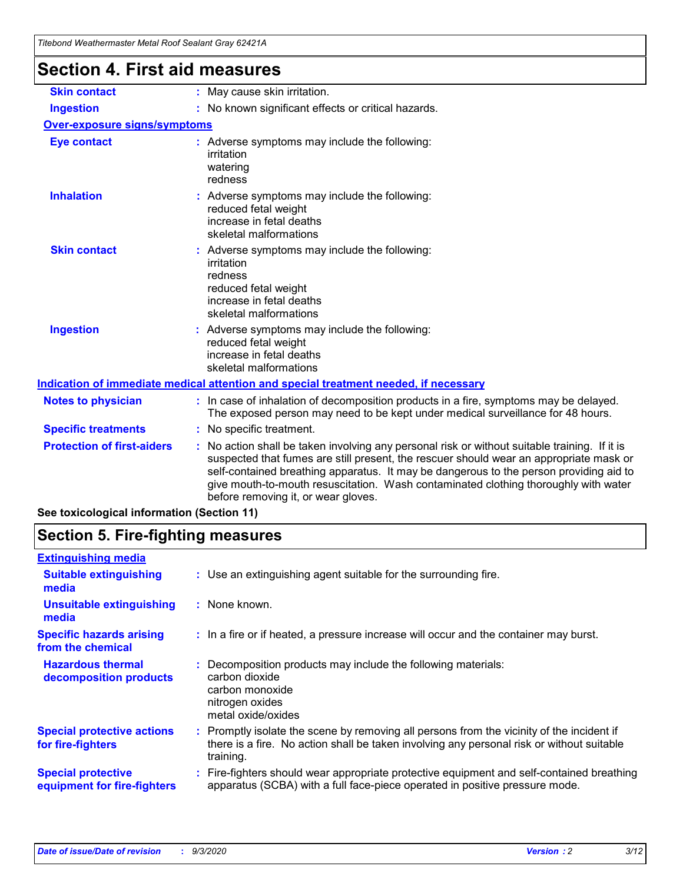| Titebond Weathermaster Metal Roof Sealant Gray 62421A |                                                                                                                                                                                                                                                                                                                                                                                                               |  |  |
|-------------------------------------------------------|---------------------------------------------------------------------------------------------------------------------------------------------------------------------------------------------------------------------------------------------------------------------------------------------------------------------------------------------------------------------------------------------------------------|--|--|
| <b>Section 4. First aid measures</b>                  |                                                                                                                                                                                                                                                                                                                                                                                                               |  |  |
| <b>Skin contact</b>                                   | : May cause skin irritation.                                                                                                                                                                                                                                                                                                                                                                                  |  |  |
| <b>Ingestion</b>                                      | : No known significant effects or critical hazards.                                                                                                                                                                                                                                                                                                                                                           |  |  |
| <b>Over-exposure signs/symptoms</b>                   |                                                                                                                                                                                                                                                                                                                                                                                                               |  |  |
| <b>Eye contact</b>                                    | : Adverse symptoms may include the following:<br>irritation<br>watering<br>redness                                                                                                                                                                                                                                                                                                                            |  |  |
| <b>Inhalation</b>                                     | : Adverse symptoms may include the following:<br>reduced fetal weight<br>increase in fetal deaths<br>skeletal malformations                                                                                                                                                                                                                                                                                   |  |  |
| <b>Skin contact</b>                                   | : Adverse symptoms may include the following:<br>irritation<br>redness<br>reduced fetal weight<br>increase in fetal deaths<br>skeletal malformations                                                                                                                                                                                                                                                          |  |  |
| <b>Ingestion</b>                                      | Adverse symptoms may include the following:<br>reduced fetal weight<br>increase in fetal deaths<br>skeletal malformations                                                                                                                                                                                                                                                                                     |  |  |
|                                                       | Indication of immediate medical attention and special treatment needed, if necessary                                                                                                                                                                                                                                                                                                                          |  |  |
| <b>Notes to physician</b>                             | : In case of inhalation of decomposition products in a fire, symptoms may be delayed.<br>The exposed person may need to be kept under medical surveillance for 48 hours.                                                                                                                                                                                                                                      |  |  |
| <b>Specific treatments</b>                            | : No specific treatment.                                                                                                                                                                                                                                                                                                                                                                                      |  |  |
| <b>Protection of first-aiders</b>                     | No action shall be taken involving any personal risk or without suitable training. If it is<br>suspected that fumes are still present, the rescuer should wear an appropriate mask or<br>self-contained breathing apparatus. It may be dangerous to the person providing aid to<br>give mouth-to-mouth resuscitation. Wash contaminated clothing thoroughly with water<br>before removing it, or wear gloves. |  |  |

**See toxicological information (Section 11)**

# **Section 5. Fire-fighting measures**

| <b>Extinguishing media</b>                               |                                                                                                                                                                                                     |
|----------------------------------------------------------|-----------------------------------------------------------------------------------------------------------------------------------------------------------------------------------------------------|
| <b>Suitable extinguishing</b><br>media                   | : Use an extinguishing agent suitable for the surrounding fire.                                                                                                                                     |
| <b>Unsuitable extinguishing</b><br>media                 | : None known.                                                                                                                                                                                       |
| <b>Specific hazards arising</b><br>from the chemical     | : In a fire or if heated, a pressure increase will occur and the container may burst.                                                                                                               |
| <b>Hazardous thermal</b><br>decomposition products       | Decomposition products may include the following materials:<br>carbon dioxide<br>carbon monoxide<br>nitrogen oxides<br>metal oxide/oxides                                                           |
| <b>Special protective actions</b><br>for fire-fighters   | : Promptly isolate the scene by removing all persons from the vicinity of the incident if<br>there is a fire. No action shall be taken involving any personal risk or without suitable<br>training. |
| <b>Special protective</b><br>equipment for fire-fighters | Fire-fighters should wear appropriate protective equipment and self-contained breathing<br>apparatus (SCBA) with a full face-piece operated in positive pressure mode.                              |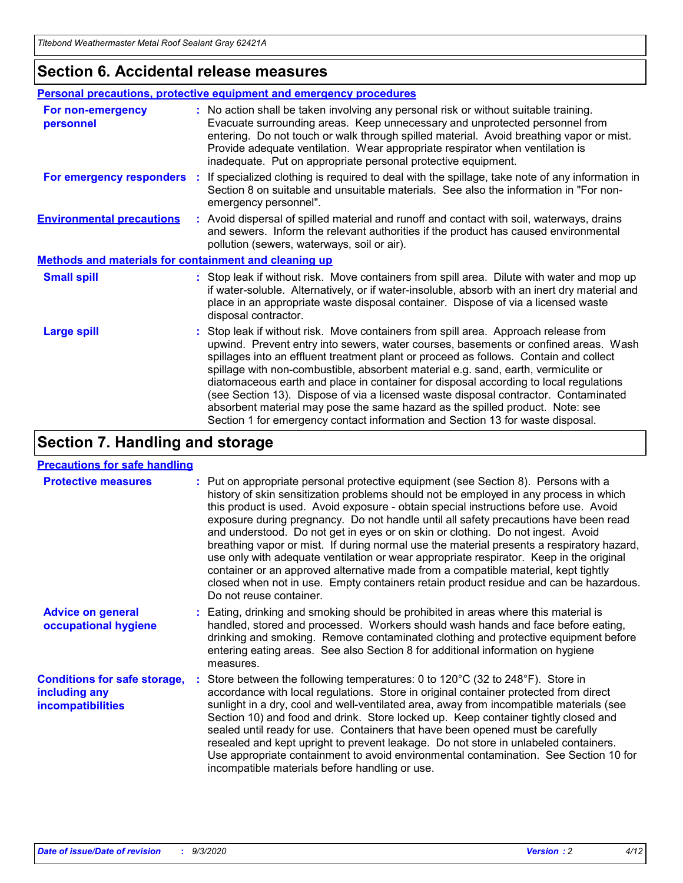# **Section 6. Accidental release measures**

|                                                              | Personal precautions, protective equipment and emergency procedures                                                                                                                                                                                                                                                                                                                                                                                                                                                                                                                                                                                                                                          |  |  |  |  |
|--------------------------------------------------------------|--------------------------------------------------------------------------------------------------------------------------------------------------------------------------------------------------------------------------------------------------------------------------------------------------------------------------------------------------------------------------------------------------------------------------------------------------------------------------------------------------------------------------------------------------------------------------------------------------------------------------------------------------------------------------------------------------------------|--|--|--|--|
| For non-emergency<br>personnel                               | : No action shall be taken involving any personal risk or without suitable training.<br>Evacuate surrounding areas. Keep unnecessary and unprotected personnel from<br>entering. Do not touch or walk through spilled material. Avoid breathing vapor or mist.<br>Provide adequate ventilation. Wear appropriate respirator when ventilation is<br>inadequate. Put on appropriate personal protective equipment.                                                                                                                                                                                                                                                                                             |  |  |  |  |
| For emergency responders                                     | : If specialized clothing is required to deal with the spillage, take note of any information in<br>Section 8 on suitable and unsuitable materials. See also the information in "For non-<br>emergency personnel".                                                                                                                                                                                                                                                                                                                                                                                                                                                                                           |  |  |  |  |
| <b>Environmental precautions</b>                             | : Avoid dispersal of spilled material and runoff and contact with soil, waterways, drains<br>and sewers. Inform the relevant authorities if the product has caused environmental<br>pollution (sewers, waterways, soil or air).                                                                                                                                                                                                                                                                                                                                                                                                                                                                              |  |  |  |  |
| <b>Methods and materials for containment and cleaning up</b> |                                                                                                                                                                                                                                                                                                                                                                                                                                                                                                                                                                                                                                                                                                              |  |  |  |  |
| <b>Small spill</b>                                           | : Stop leak if without risk. Move containers from spill area. Dilute with water and mop up<br>if water-soluble. Alternatively, or if water-insoluble, absorb with an inert dry material and<br>place in an appropriate waste disposal container. Dispose of via a licensed waste<br>disposal contractor.                                                                                                                                                                                                                                                                                                                                                                                                     |  |  |  |  |
| <b>Large spill</b>                                           | : Stop leak if without risk. Move containers from spill area. Approach release from<br>upwind. Prevent entry into sewers, water courses, basements or confined areas. Wash<br>spillages into an effluent treatment plant or proceed as follows. Contain and collect<br>spillage with non-combustible, absorbent material e.g. sand, earth, vermiculite or<br>diatomaceous earth and place in container for disposal according to local regulations<br>(see Section 13). Dispose of via a licensed waste disposal contractor. Contaminated<br>absorbent material may pose the same hazard as the spilled product. Note: see<br>Section 1 for emergency contact information and Section 13 for waste disposal. |  |  |  |  |

# **Section 7. Handling and storage**

### **Precautions for safe handling**

| <b>Protective measures</b>                                                       | : Put on appropriate personal protective equipment (see Section 8). Persons with a<br>history of skin sensitization problems should not be employed in any process in which<br>this product is used. Avoid exposure - obtain special instructions before use. Avoid<br>exposure during pregnancy. Do not handle until all safety precautions have been read<br>and understood. Do not get in eyes or on skin or clothing. Do not ingest. Avoid<br>breathing vapor or mist. If during normal use the material presents a respiratory hazard,<br>use only with adequate ventilation or wear appropriate respirator. Keep in the original<br>container or an approved alternative made from a compatible material, kept tightly<br>closed when not in use. Empty containers retain product residue and can be hazardous.<br>Do not reuse container. |
|----------------------------------------------------------------------------------|--------------------------------------------------------------------------------------------------------------------------------------------------------------------------------------------------------------------------------------------------------------------------------------------------------------------------------------------------------------------------------------------------------------------------------------------------------------------------------------------------------------------------------------------------------------------------------------------------------------------------------------------------------------------------------------------------------------------------------------------------------------------------------------------------------------------------------------------------|
| <b>Advice on general</b><br>occupational hygiene                                 | : Eating, drinking and smoking should be prohibited in areas where this material is<br>handled, stored and processed. Workers should wash hands and face before eating,<br>drinking and smoking. Remove contaminated clothing and protective equipment before<br>entering eating areas. See also Section 8 for additional information on hygiene<br>measures.                                                                                                                                                                                                                                                                                                                                                                                                                                                                                    |
| <b>Conditions for safe storage,</b><br>including any<br><b>incompatibilities</b> | Store between the following temperatures: 0 to $120^{\circ}$ C (32 to $248^{\circ}$ F). Store in<br>accordance with local regulations. Store in original container protected from direct<br>sunlight in a dry, cool and well-ventilated area, away from incompatible materials (see<br>Section 10) and food and drink. Store locked up. Keep container tightly closed and<br>sealed until ready for use. Containers that have been opened must be carefully<br>resealed and kept upright to prevent leakage. Do not store in unlabeled containers.<br>Use appropriate containment to avoid environmental contamination. See Section 10 for<br>incompatible materials before handling or use.                                                                                                                                                     |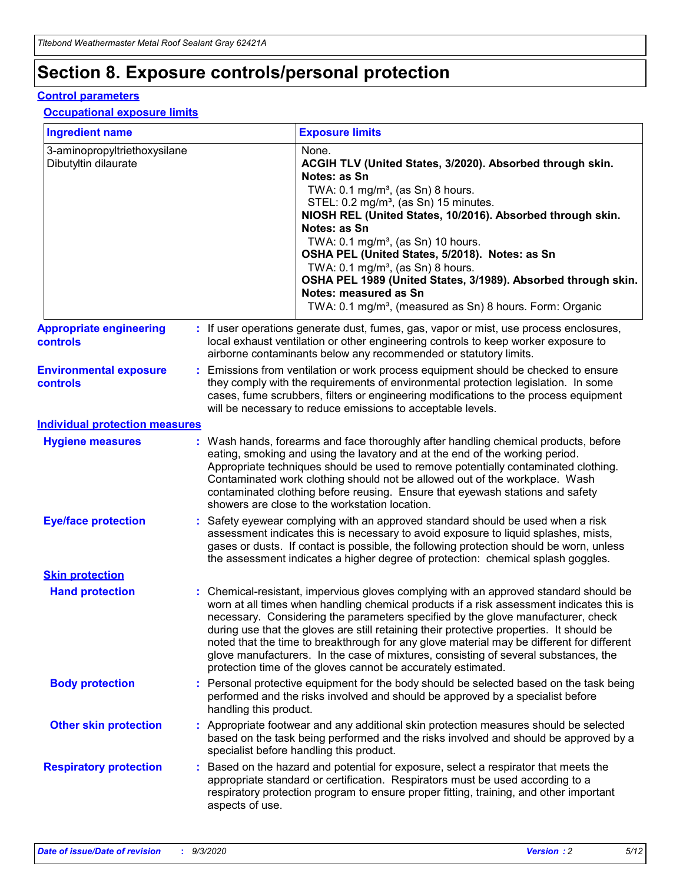# **Section 8. Exposure controls/personal protection**

### **Control parameters**

### **Occupational exposure limits**

| <b>Ingredient name</b>                               |    |                        | <b>Exposure limits</b>                                                                                                                                                                                                                                                                                                                                                                                                                                                                                                                                                                                                 |
|------------------------------------------------------|----|------------------------|------------------------------------------------------------------------------------------------------------------------------------------------------------------------------------------------------------------------------------------------------------------------------------------------------------------------------------------------------------------------------------------------------------------------------------------------------------------------------------------------------------------------------------------------------------------------------------------------------------------------|
| 3-aminopropyltriethoxysilane<br>Dibutyltin dilaurate |    |                        | None.<br>ACGIH TLV (United States, 3/2020). Absorbed through skin.<br>Notes: as Sn<br>TWA: $0.1 \text{ mg/m}^3$ , (as Sn) 8 hours.<br>STEL: 0.2 mg/m <sup>3</sup> , (as Sn) 15 minutes.<br>NIOSH REL (United States, 10/2016). Absorbed through skin.<br>Notes: as Sn<br>TWA: 0.1 mg/m <sup>3</sup> , (as Sn) 10 hours.<br>OSHA PEL (United States, 5/2018). Notes: as Sn<br>TWA: 0.1 mg/m <sup>3</sup> , (as Sn) 8 hours.<br>OSHA PEL 1989 (United States, 3/1989). Absorbed through skin.<br>Notes: measured as Sn<br>TWA: 0.1 mg/m <sup>3</sup> , (measured as Sn) 8 hours. Form: Organic                           |
| <b>Appropriate engineering</b><br>controls           |    |                        | : If user operations generate dust, fumes, gas, vapor or mist, use process enclosures,<br>local exhaust ventilation or other engineering controls to keep worker exposure to<br>airborne contaminants below any recommended or statutory limits.                                                                                                                                                                                                                                                                                                                                                                       |
| <b>Environmental exposure</b><br>controls            |    |                        | Emissions from ventilation or work process equipment should be checked to ensure<br>they comply with the requirements of environmental protection legislation. In some<br>cases, fume scrubbers, filters or engineering modifications to the process equipment<br>will be necessary to reduce emissions to acceptable levels.                                                                                                                                                                                                                                                                                          |
| <b>Individual protection measures</b>                |    |                        |                                                                                                                                                                                                                                                                                                                                                                                                                                                                                                                                                                                                                        |
| <b>Hygiene measures</b>                              |    |                        | : Wash hands, forearms and face thoroughly after handling chemical products, before<br>eating, smoking and using the lavatory and at the end of the working period.<br>Appropriate techniques should be used to remove potentially contaminated clothing.<br>Contaminated work clothing should not be allowed out of the workplace. Wash<br>contaminated clothing before reusing. Ensure that eyewash stations and safety<br>showers are close to the workstation location.                                                                                                                                            |
| <b>Eye/face protection</b>                           |    |                        | Safety eyewear complying with an approved standard should be used when a risk<br>assessment indicates this is necessary to avoid exposure to liquid splashes, mists,<br>gases or dusts. If contact is possible, the following protection should be worn, unless<br>the assessment indicates a higher degree of protection: chemical splash goggles.                                                                                                                                                                                                                                                                    |
| <b>Skin protection</b>                               |    |                        |                                                                                                                                                                                                                                                                                                                                                                                                                                                                                                                                                                                                                        |
| <b>Hand protection</b>                               |    |                        | : Chemical-resistant, impervious gloves complying with an approved standard should be<br>worn at all times when handling chemical products if a risk assessment indicates this is<br>necessary. Considering the parameters specified by the glove manufacturer, check<br>during use that the gloves are still retaining their protective properties. It should be<br>noted that the time to breakthrough for any glove material may be different for different<br>glove manufacturers. In the case of mixtures, consisting of several substances, the<br>protection time of the gloves cannot be accurately estimated. |
| <b>Body protection</b>                               |    | handling this product. | Personal protective equipment for the body should be selected based on the task being<br>performed and the risks involved and should be approved by a specialist before                                                                                                                                                                                                                                                                                                                                                                                                                                                |
| <b>Other skin protection</b>                         |    |                        | : Appropriate footwear and any additional skin protection measures should be selected<br>based on the task being performed and the risks involved and should be approved by a<br>specialist before handling this product.                                                                                                                                                                                                                                                                                                                                                                                              |
| <b>Respiratory protection</b>                        | ÷. | aspects of use.        | Based on the hazard and potential for exposure, select a respirator that meets the<br>appropriate standard or certification. Respirators must be used according to a<br>respiratory protection program to ensure proper fitting, training, and other important                                                                                                                                                                                                                                                                                                                                                         |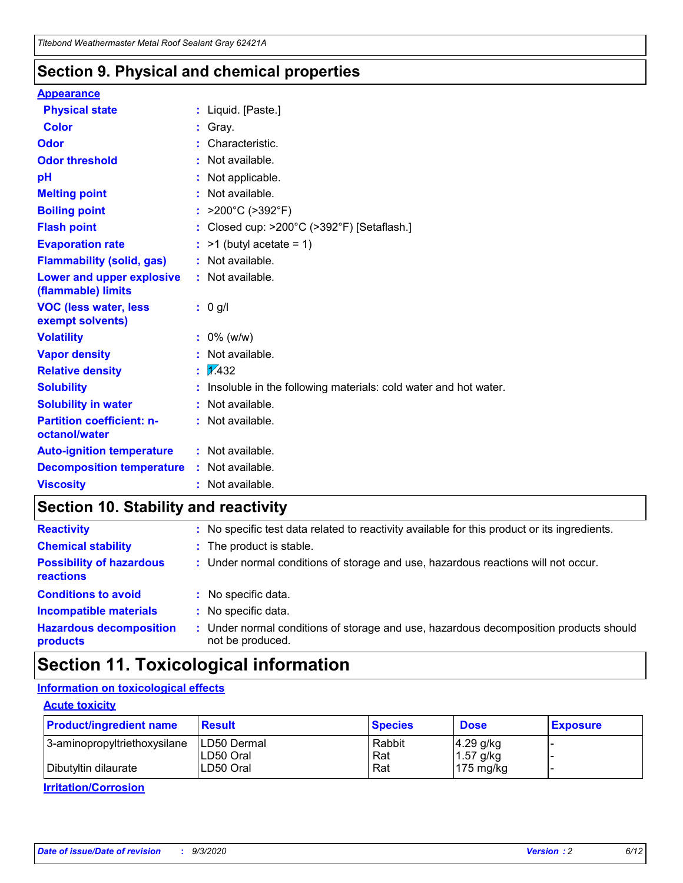# **Section 9. Physical and chemical properties**

### **Appearance**

| <b>Physical state</b>                             | : Liquid. [Paste.]                                              |
|---------------------------------------------------|-----------------------------------------------------------------|
| <b>Color</b>                                      | Gray.                                                           |
| Odor                                              | Characteristic.                                                 |
| <b>Odor threshold</b>                             | Not available.                                                  |
| рH                                                | Not applicable.                                                 |
| <b>Melting point</b>                              | : Not available.                                                |
| <b>Boiling point</b>                              | >200°C (>392°F)                                                 |
| <b>Flash point</b>                                | Closed cup: >200°C (>392°F) [Setaflash.]                        |
| <b>Evaporation rate</b>                           | $:$ >1 (butyl acetate = 1)                                      |
| <b>Flammability (solid, gas)</b>                  | : Not available.                                                |
| Lower and upper explosive<br>(flammable) limits   | : Not available.                                                |
| <b>VOC (less water, less)</b><br>exempt solvents) | : 0 g/l                                                         |
| <b>Volatility</b>                                 | $: 0\%$ (w/w)                                                   |
| <b>Vapor density</b>                              | Not available.                                                  |
| <b>Relative density</b>                           | $\mathbf{1}$ $\mathbf{\sqrt{432}}$                              |
| <b>Solubility</b>                                 | Insoluble in the following materials: cold water and hot water. |
| <b>Solubility in water</b>                        | Not available.                                                  |
| <b>Partition coefficient: n-</b><br>octanol/water | $:$ Not available.                                              |
| <b>Auto-ignition temperature</b>                  | : Not available.                                                |
| <b>Decomposition temperature</b>                  | : Not available.                                                |
| <b>Viscosity</b>                                  | $:$ Not available.                                              |

# **Section 10. Stability and reactivity**

| <b>Reactivity</b>                            |    | : No specific test data related to reactivity available for this product or its ingredients.            |
|----------------------------------------------|----|---------------------------------------------------------------------------------------------------------|
| <b>Chemical stability</b>                    |    | : The product is stable.                                                                                |
| <b>Possibility of hazardous</b><br>reactions |    | : Under normal conditions of storage and use, hazardous reactions will not occur.                       |
| <b>Conditions to avoid</b>                   |    | : No specific data.                                                                                     |
| <b>Incompatible materials</b>                | ٠. | No specific data.                                                                                       |
| <b>Hazardous decomposition</b><br>products   | ÷. | Under normal conditions of storage and use, hazardous decomposition products should<br>not be produced. |

# **Section 11. Toxicological information**

# **Information on toxicological effects**

### **Acute toxicity**

| <b>Product/ingredient name</b> | <b>Result</b>           | <b>Species</b> | <b>Dose</b>                | <b>Exposure</b> |
|--------------------------------|-------------------------|----------------|----------------------------|-----------------|
| 3-aminopropyltriethoxysilane   | <b>ILD50 Dermal</b>     | Rabbit         | 4.29 g/kg                  |                 |
| Dibutyltin dilaurate           | ILD50 Oral<br>LD50 Oral | Rat<br>Rat     | $1.57$ g/kg<br>175 $mg/kg$ |                 |
|                                |                         |                |                            |                 |

**Irritation/Corrosion**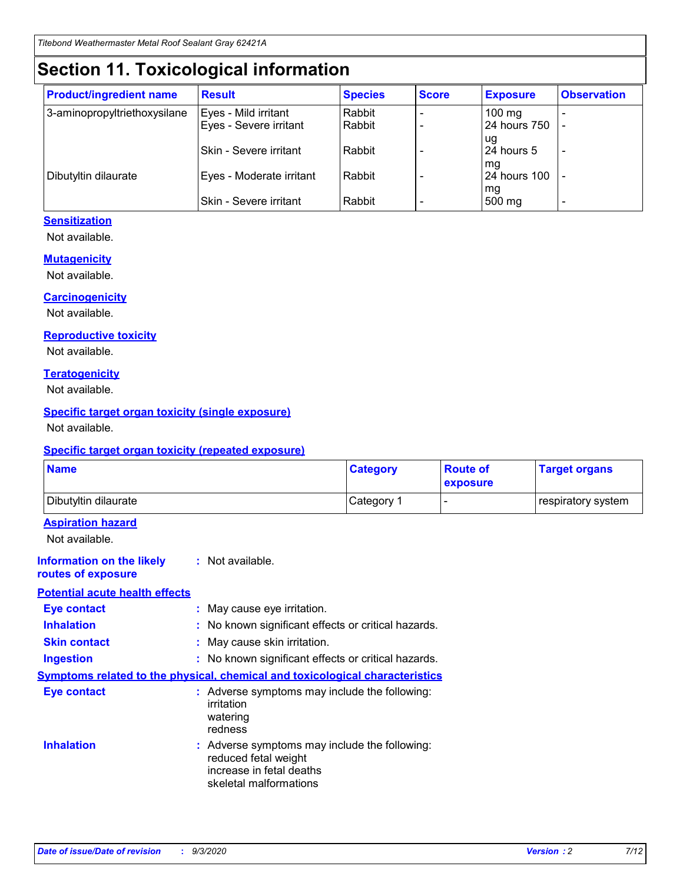# **Section 11. Toxicological information**

| <b>Product/ingredient name</b> | <b>Result</b>            | <b>Species</b> | <b>Score</b> | <b>Exposure</b>    | <b>Observation</b> |
|--------------------------------|--------------------------|----------------|--------------|--------------------|--------------------|
| 3-aminopropyltriethoxysilane   | Eyes - Mild irritant     | Rabbit         |              | $100$ mg           |                    |
|                                | Eyes - Severe irritant   | Rabbit         |              | 24 hours 750       |                    |
|                                |                          |                |              | ug                 |                    |
|                                | Skin - Severe irritant   | Rabbit         |              | 24 hours 5         | -                  |
| Dibutyltin dilaurate           | Eyes - Moderate irritant | Rabbit         |              | mg<br>24 hours 100 |                    |
|                                |                          |                |              | mg                 |                    |
|                                | Skin - Severe irritant   | Rabbit         |              | 500 mg             | -                  |

# **Sensitization**

Not available.

### **Mutagenicity**

Not available.

### **Carcinogenicity**

Not available.

### **Reproductive toxicity**

Not available.

### **Teratogenicity**

Not available.

## **Specific target organ toxicity (single exposure)**

Not available.

### **Specific target organ toxicity (repeated exposure)**

| <b>Name</b>                                                                  |                                                                                    | <b>Category</b>                                     | <b>Route of</b><br>exposure | <b>Target organs</b> |  |  |
|------------------------------------------------------------------------------|------------------------------------------------------------------------------------|-----------------------------------------------------|-----------------------------|----------------------|--|--|
| Dibutyltin dilaurate                                                         |                                                                                    | Category 1                                          | $\overline{\phantom{0}}$    | respiratory system   |  |  |
| <b>Aspiration hazard</b><br>Not available.                                   |                                                                                    |                                                     |                             |                      |  |  |
| <b>Information on the likely</b><br>routes of exposure                       | : Not available.                                                                   |                                                     |                             |                      |  |  |
| <b>Potential acute health effects</b>                                        |                                                                                    |                                                     |                             |                      |  |  |
| <b>Eye contact</b>                                                           | : May cause eye irritation.                                                        |                                                     |                             |                      |  |  |
| <b>Inhalation</b>                                                            |                                                                                    | : No known significant effects or critical hazards. |                             |                      |  |  |
| <b>Skin contact</b>                                                          |                                                                                    | : May cause skin irritation.                        |                             |                      |  |  |
| <b>Ingestion</b>                                                             |                                                                                    | : No known significant effects or critical hazards. |                             |                      |  |  |
| Symptoms related to the physical, chemical and toxicological characteristics |                                                                                    |                                                     |                             |                      |  |  |
| <b>Eye contact</b>                                                           | : Adverse symptoms may include the following:<br>irritation<br>watering<br>redness |                                                     |                             |                      |  |  |
| <b>Inhalation</b>                                                            | reduced fetal weight<br>increase in fetal deaths<br>skeletal malformations         | : Adverse symptoms may include the following:       |                             |                      |  |  |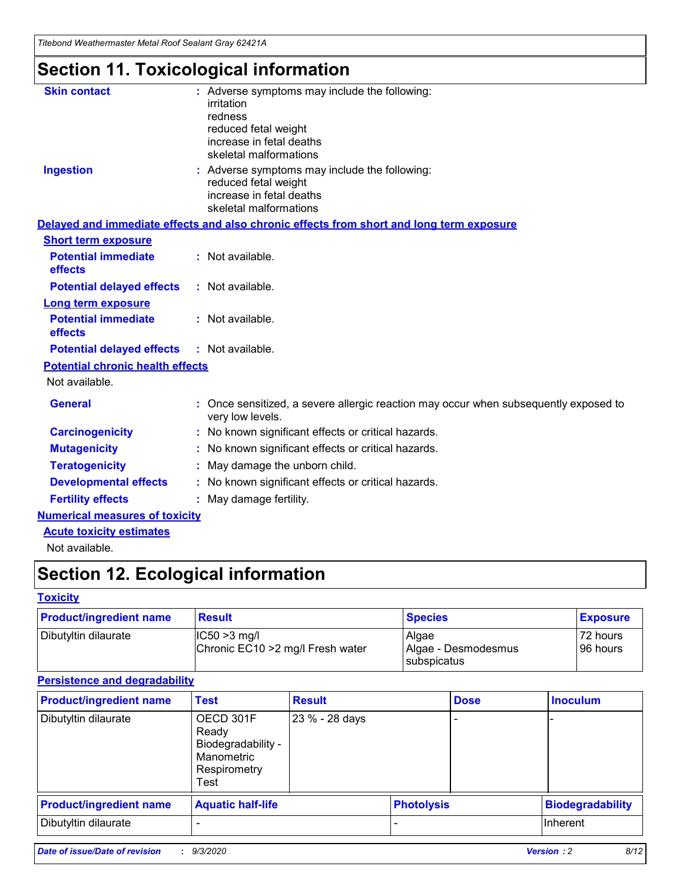*Titebond Weathermaster Metal Roof Sealant Gray 62421A*

# **Section 11. Toxicological information**

| <b>Skin contact</b>                     | : Adverse symptoms may include the following:<br>irritation<br>redness<br>reduced fetal weight<br>increase in fetal deaths<br>skeletal malformations |
|-----------------------------------------|------------------------------------------------------------------------------------------------------------------------------------------------------|
| <b>Ingestion</b>                        | : Adverse symptoms may include the following:<br>reduced fetal weight<br>increase in fetal deaths<br>skeletal malformations                          |
|                                         | Delayed and immediate effects and also chronic effects from short and long term exposure                                                             |
| <b>Short term exposure</b>              |                                                                                                                                                      |
| <b>Potential immediate</b><br>effects   | : Not available.                                                                                                                                     |
| <b>Potential delayed effects</b>        | : Not available.                                                                                                                                     |
| <b>Long term exposure</b>               |                                                                                                                                                      |
| <b>Potential immediate</b><br>effects   | : Not available.                                                                                                                                     |
| <b>Potential delayed effects</b>        | : Not available.                                                                                                                                     |
| <b>Potential chronic health effects</b> |                                                                                                                                                      |
| Not available.                          |                                                                                                                                                      |
| <b>General</b>                          | : Once sensitized, a severe allergic reaction may occur when subsequently exposed to<br>very low levels.                                             |
| <b>Carcinogenicity</b>                  | : No known significant effects or critical hazards.                                                                                                  |
| <b>Mutagenicity</b>                     | : No known significant effects or critical hazards.                                                                                                  |
| <b>Teratogenicity</b>                   | May damage the unborn child.                                                                                                                         |
| <b>Developmental effects</b>            | : No known significant effects or critical hazards.                                                                                                  |
| <b>Fertility effects</b>                | : May damage fertility.                                                                                                                              |
| <b>Numerical measures of toxicity</b>   |                                                                                                                                                      |
| <b>Acute toxicity estimates</b>         |                                                                                                                                                      |
| الملحلة والمستحيط والمسالم              |                                                                                                                                                      |

Not available.

# **Section 12. Ecological information**

# **Toxicity**

| <b>Product/ingredient name</b> | <b>Result</b>                                       | <b>Species</b>               | <b>Exposure</b>       |
|--------------------------------|-----------------------------------------------------|------------------------------|-----------------------|
| Dibutyltin dilaurate           | $ CC50>3$ mg/l<br>Chronic EC10 > 2 mg/l Fresh water | Algae<br>Algae - Desmodesmus | 72 hours<br>196 hours |
|                                |                                                     | <b>I</b> subspicatus         |                       |

# **Persistence and degradability**

| <b>Product/ingredient name</b> | <b>Test</b>                                                                    | <b>Result</b>  |                   | <b>Dose</b> | <b>Inoculum</b>         |
|--------------------------------|--------------------------------------------------------------------------------|----------------|-------------------|-------------|-------------------------|
| Dibutyltin dilaurate           | OECD 301F<br>Ready<br>Biodegradability -<br>Manometric<br>Respirometry<br>Test | 23 % - 28 days |                   |             |                         |
| <b>Product/ingredient name</b> | <b>Aquatic half-life</b>                                                       |                | <b>Photolysis</b> |             | <b>Biodegradability</b> |
| Dibutyltin dilaurate           |                                                                                |                |                   |             | <b>Inherent</b>         |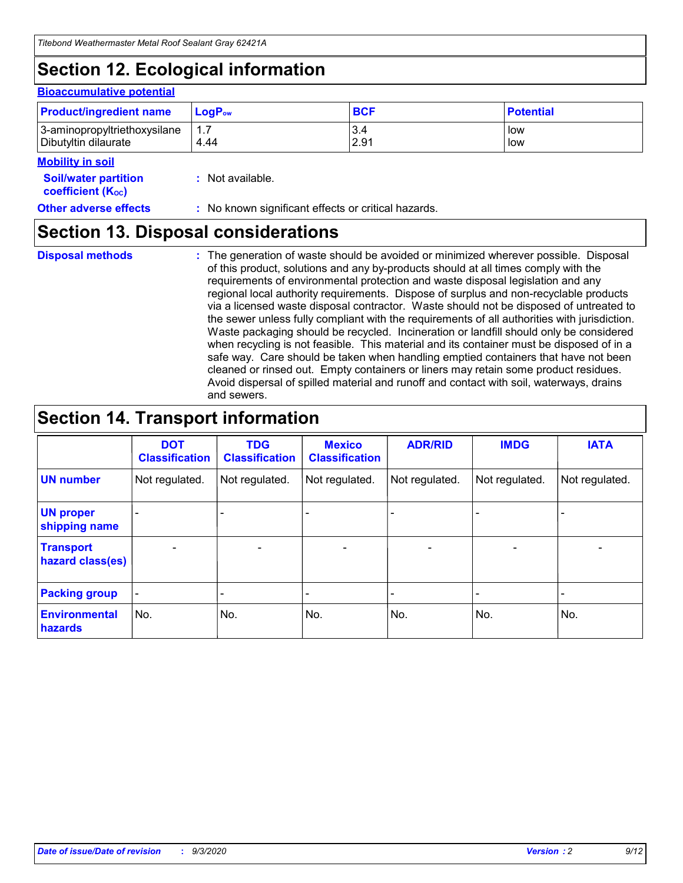# **Section 12. Ecological information**

### **Bioaccumulative potential**

| <b>Product/ingredient name</b> | <b>LogP</b> <sub>ow</sub> | <b>BCF</b> | <b>Potential</b> |
|--------------------------------|---------------------------|------------|------------------|
| 3-aminopropyltriethoxysilane   | 4.44                      | 3.4        | low              |
| Dibutyltin dilaurate           |                           | 2.91       | low              |

#### **Mobility in soil**

| <b>Soil/water partition</b>           | : Not available. |
|---------------------------------------|------------------|
| <b>coefficient</b> (K <sub>oc</sub> ) |                  |

**Other adverse effects** : No known significant effects or critical hazards.

# **Section 13. Disposal considerations**

**Disposal methods :**

The generation of waste should be avoided or minimized wherever possible. Disposal of this product, solutions and any by-products should at all times comply with the requirements of environmental protection and waste disposal legislation and any regional local authority requirements. Dispose of surplus and non-recyclable products via a licensed waste disposal contractor. Waste should not be disposed of untreated to the sewer unless fully compliant with the requirements of all authorities with jurisdiction. Waste packaging should be recycled. Incineration or landfill should only be considered when recycling is not feasible. This material and its container must be disposed of in a safe way. Care should be taken when handling emptied containers that have not been cleaned or rinsed out. Empty containers or liners may retain some product residues. Avoid dispersal of spilled material and runoff and contact with soil, waterways, drains and sewers.

# **Section 14. Transport information**

|                                      | <b>DOT</b><br><b>Classification</b> | <b>TDG</b><br><b>Classification</b> | <b>Mexico</b><br><b>Classification</b> | <b>ADR/RID</b>               | <b>IMDG</b>              | <b>IATA</b>    |
|--------------------------------------|-------------------------------------|-------------------------------------|----------------------------------------|------------------------------|--------------------------|----------------|
| <b>UN number</b>                     | Not regulated.                      | Not regulated.                      | Not regulated.                         | Not regulated.               | Not regulated.           | Not regulated. |
| <b>UN proper</b><br>shipping name    |                                     |                                     |                                        |                              |                          |                |
| <b>Transport</b><br>hazard class(es) | $\overline{\phantom{m}}$            | $\overline{\phantom{0}}$            | $\qquad \qquad$                        | $\qquad \qquad \blacksquare$ | $\overline{\phantom{0}}$ |                |
| <b>Packing group</b>                 | -                                   |                                     |                                        |                              |                          |                |
| <b>Environmental</b><br>hazards      | No.                                 | No.                                 | No.                                    | No.                          | No.                      | No.            |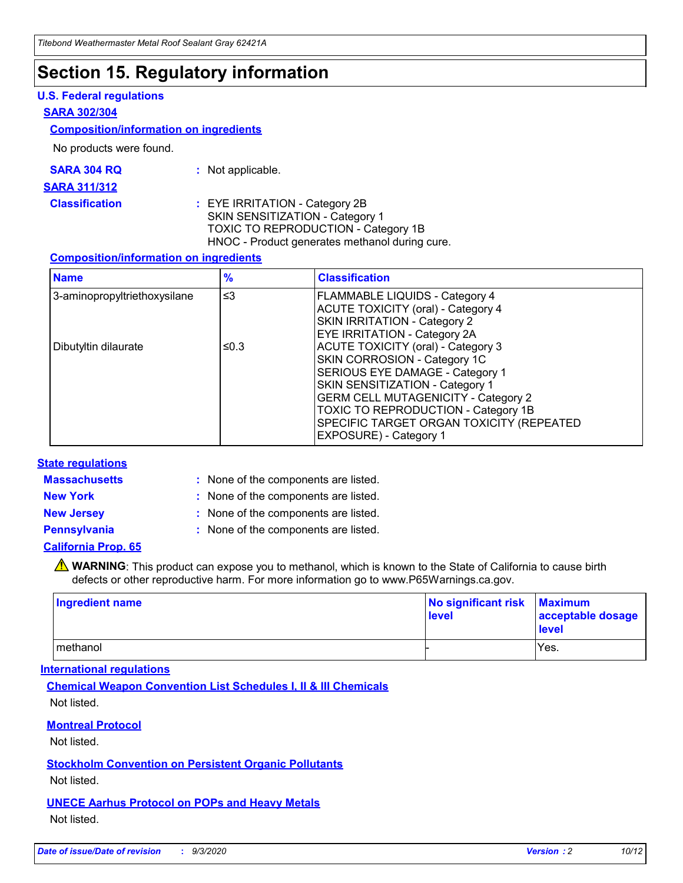# **Section 15. Regulatory information**

## **U.S. Federal regulations**

### **SARA 302/304**

### **Composition/information on ingredients**

No products were found.

| SARA 304 RQ | Not applicable. |
|-------------|-----------------|
|-------------|-----------------|

#### **SARA 311/312**

### **Classification :** EYE IRRITATION - Category 2B SKIN SENSITIZATION - Category 1 TOXIC TO REPRODUCTION - Category 1B HNOC - Product generates methanol during cure.

### **Composition/information on ingredients**

| <b>Name</b>                  | $\frac{9}{6}$ | <b>Classification</b>                                                                                                                                                                                                                                                                                      |
|------------------------------|---------------|------------------------------------------------------------------------------------------------------------------------------------------------------------------------------------------------------------------------------------------------------------------------------------------------------------|
| 3-aminopropyltriethoxysilane | $\leq$ 3      | <b>FLAMMABLE LIQUIDS - Category 4</b><br><b>ACUTE TOXICITY (oral) - Category 4</b><br><b>SKIN IRRITATION - Category 2</b><br>EYE IRRITATION - Category 2A                                                                                                                                                  |
| Dibutyltin dilaurate         | ≤0.3          | <b>ACUTE TOXICITY (oral) - Category 3</b><br>SKIN CORROSION - Category 1C<br>SERIOUS EYE DAMAGE - Category 1<br>SKIN SENSITIZATION - Category 1<br><b>GERM CELL MUTAGENICITY - Category 2</b><br>TOXIC TO REPRODUCTION - Category 1B<br>SPECIFIC TARGET ORGAN TOXICITY (REPEATED<br>EXPOSURE) - Category 1 |

### **State regulations**

**Massachusetts :**

: None of the components are listed.

**New York :** None of the components are listed. **New Jersey :** None of the components are listed.

**Pennsylvania :** None of the components are listed.

### **California Prop. 65**

WARNING: This product can expose you to methanol, which is known to the State of California to cause birth defects or other reproductive harm. For more information go to www.P65Warnings.ca.gov.

| Ingredient name | No significant risk<br>level | <b>Maximum</b><br>acceptable dosage<br><b>level</b> |
|-----------------|------------------------------|-----------------------------------------------------|
| l methanol      |                              | Yes.                                                |

## **International regulations**

**Chemical Weapon Convention List Schedules I, II & III Chemicals** Not listed.

### **Montreal Protocol**

Not listed.

**Stockholm Convention on Persistent Organic Pollutants**

Not listed.

## **UNECE Aarhus Protocol on POPs and Heavy Metals** Not listed.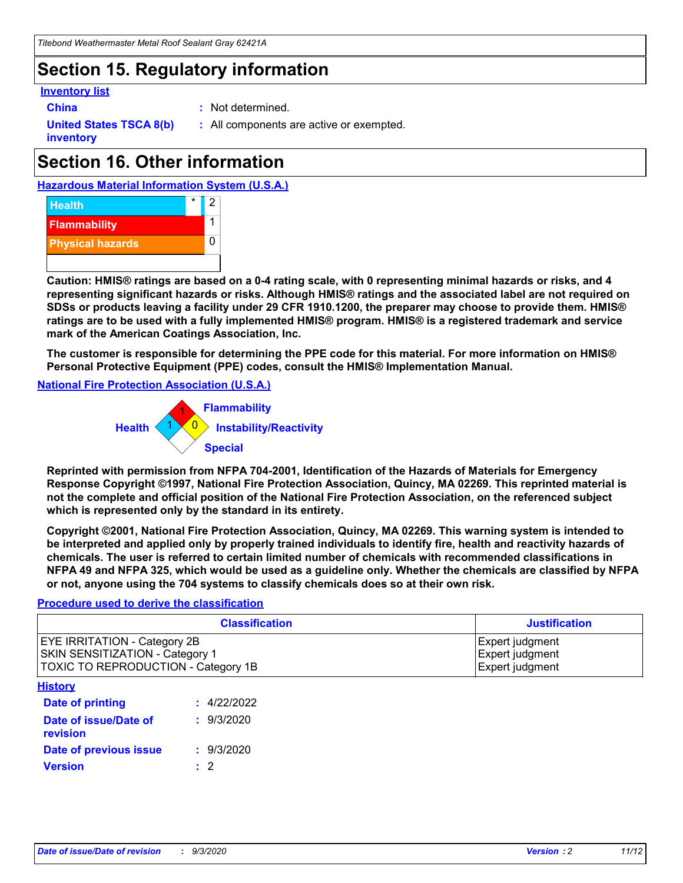# **Section 15. Regulatory information**

### **Inventory list**

- 
- **China :** Not determined.

**United States TSCA 8(b) inventory**

**:** All components are active or exempted.

# **Section 16. Other information**





**Caution: HMIS® ratings are based on a 0-4 rating scale, with 0 representing minimal hazards or risks, and 4 representing significant hazards or risks. Although HMIS® ratings and the associated label are not required on SDSs or products leaving a facility under 29 CFR 1910.1200, the preparer may choose to provide them. HMIS® ratings are to be used with a fully implemented HMIS® program. HMIS® is a registered trademark and service mark of the American Coatings Association, Inc.**

**The customer is responsible for determining the PPE code for this material. For more information on HMIS® Personal Protective Equipment (PPE) codes, consult the HMIS® Implementation Manual.**

**National Fire Protection Association (U.S.A.)**



**Reprinted with permission from NFPA 704-2001, Identification of the Hazards of Materials for Emergency Response Copyright ©1997, National Fire Protection Association, Quincy, MA 02269. This reprinted material is not the complete and official position of the National Fire Protection Association, on the referenced subject which is represented only by the standard in its entirety.**

**Copyright ©2001, National Fire Protection Association, Quincy, MA 02269. This warning system is intended to be interpreted and applied only by properly trained individuals to identify fire, health and reactivity hazards of chemicals. The user is referred to certain limited number of chemicals with recommended classifications in NFPA 49 and NFPA 325, which would be used as a guideline only. Whether the chemicals are classified by NFPA or not, anyone using the 704 systems to classify chemicals does so at their own risk.**

### **Procedure used to derive the classification**

| <b>Classification</b>                                                                                         | <b>Justification</b>                                  |
|---------------------------------------------------------------------------------------------------------------|-------------------------------------------------------|
| <b>EYE IRRITATION - Category 2B</b><br>SKIN SENSITIZATION - Category 1<br>TOXIC TO REPRODUCTION - Category 1B | Expert judgment<br>Expert judgment<br>Expert judgment |
| <b>History</b>                                                                                                |                                                       |

| .                                 |             |
|-----------------------------------|-------------|
| Date of printing                  | : 4/22/2022 |
| Date of issue/Date of<br>revision | : 9/3/2020  |
| Date of previous issue            | : 9/3/2020  |
| <b>Version</b>                    | $\cdot$ 2   |
|                                   |             |